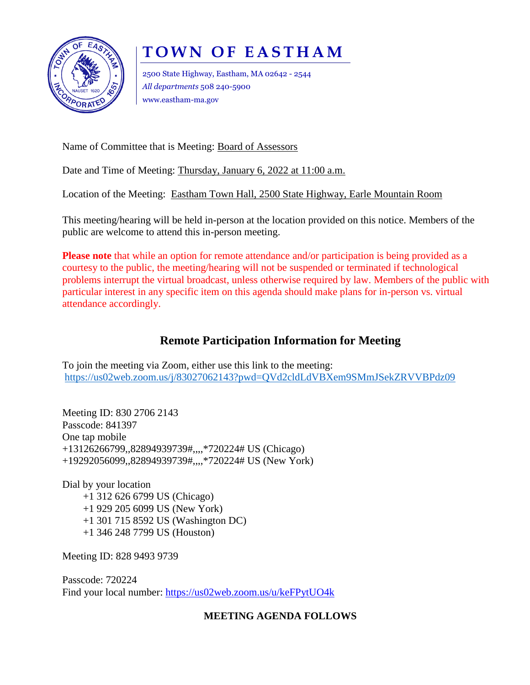

# **T O W N O F E A S T H A M**

2500 State Highway, Eastham, MA 02642 - 2544 *All departments* 508 240-5900 www.eastham-ma.gov

Name of Committee that is Meeting: Board of Assessors

Date and Time of Meeting: Thursday, January 6, 2022 at 11:00 a.m.

Location of the Meeting: Eastham Town Hall, 2500 State Highway, Earle Mountain Room

This meeting/hearing will be held in-person at the location provided on this notice. Members of the public are welcome to attend this in-person meeting.

**Please note** that while an option for remote attendance and/or participation is being provided as a courtesy to the public, the meeting/hearing will not be suspended or terminated if technological problems interrupt the virtual broadcast, unless otherwise required by law. Members of the public with particular interest in any specific item on this agenda should make plans for in-person vs. virtual attendance accordingly.

## **Remote Participation Information for Meeting**

To join the meeting via Zoom, either use this link to the meeting: <https://us02web.zoom.us/j/83027062143?pwd=QVd2cldLdVBXem9SMmJSekZRVVBPdz09>

Meeting ID: 830 2706 2143 Passcode: 841397 One tap mobile +13126266799,,82894939739#,,,,\*720224# US (Chicago) +19292056099,,82894939739#,,,,\*720224# US (New York)

Dial by your location +1 312 626 6799 US (Chicago) +1 929 205 6099 US (New York) +1 301 715 8592 US (Washington DC) +1 346 248 7799 US (Houston)

Meeting ID: 828 9493 9739

Passcode: 720224 Find your local number:<https://us02web.zoom.us/u/keFPytUO4k>

### **MEETING AGENDA FOLLOWS**